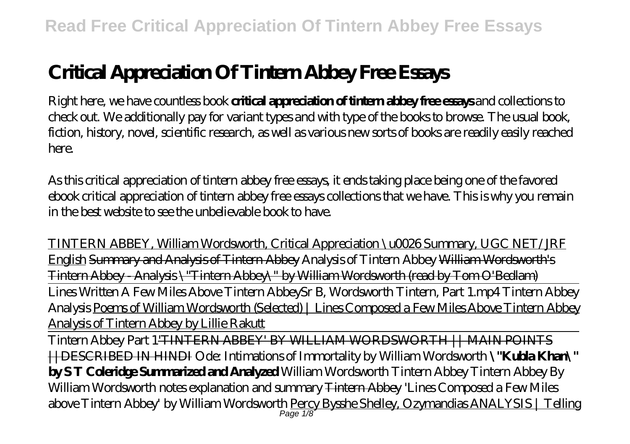## **Critical Appreciation Of Tintern Abbey Free Essays**

Right here, we have countless book **critical appreciation of tintern abbey free essays** and collections to check out. We additionally pay for variant types and with type of the books to browse. The usual book, fiction, history, novel, scientific research, as well as various new sorts of books are readily easily reached here.

As this critical appreciation of tintern abbey free essays, it ends taking place being one of the favored ebook critical appreciation of tintern abbey free essays collections that we have. This is why you remain in the best website to see the unbelievable book to have.

TINTERN ABBEY, William Wordsworth, Critical Appreciation \u0026 Summary, UGC NET/JRF English Summary and Analysis of Tintern Abbey *Analysis of Tintern Abbey* William Wordsworth's Tintern Abbey - Analysis \"Tintern Abbey\" by William Wordsworth (read by Tom O'Bedlam) Lines Written A Few Miles Above Tintern Abbey*Sr B, Wordsworth Tintern, Part 1.mp4 Tintern Abbey Analysis* Poems of William Wordsworth (Selected) | Lines Composed a Few Miles Above Tintern Abbey Analysis of Tintern Abbey by Lillie Rakutt

Tintern Abbey Part 1'TINTERN ABBEY' BY WILLIAM WORDSWORTH || MAIN POINTS ||DESCRIBED IN HINDI Ode: Intimations of Immortality by William Wordsworth **\"Kubla Khan\" by S T Coleridge Summarized and Analyzed** *William Wordsworth Tintern Abbey Tintern Abbey By William Wordsworth notes explanation and summary* Tintern Abbey *'Lines Composed a Few Miles above Tintern Abbey' by William Wordsworth* Percy Bysshe Shelley, Ozymandias ANALYSIS | Telling Page  $1/8$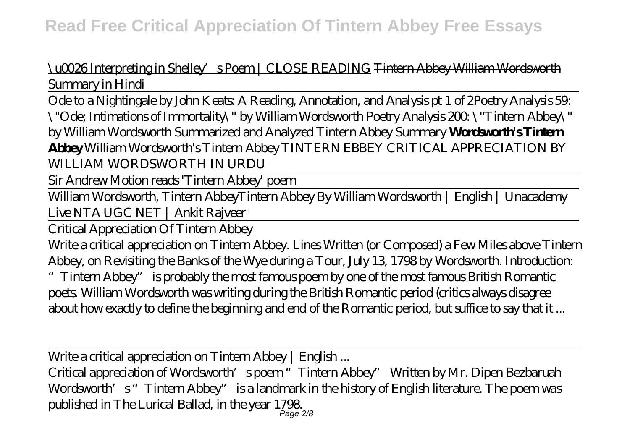\u0026 Interpreting in Shelley's Poem | CLOSE READING Tintern Abbey William Wordsworth Summary in Hindi

Ode to a Nightingale by John Keats: A Reading, Annotation, and Analysis pt 1 of 2*Poetry Analysis 59: \"Ode; Intimations of Immortality\" by William Wordsworth Poetry Analysis 200: \"Tintern Abbey\" by William Wordsworth Summarized and Analyzed Tintern Abbey Summary* **Wordsworth's Tintern Abbey** William Wordsworth's Tintern Abbey *TINTERN EBBEY CRITICAL APPRECIATION BY WILLIAM WORDSWORTH IN URDU*

Sir Andrew Motion reads 'Tintern Abbey' poem

William Wordsworth, Tintern Abbey<del>Tintern Abbey By William Wordsworth | English | Unacademy</del> Live NTA UGC NET | Ankit Rajveer

Critical Appreciation Of Tintern Abbey

Write a critical appreciation on Tintern Abbey. Lines Written (or Composed) a Few Miles above Tintern Abbey, on Revisiting the Banks of the Wye during a Tour, July 13, 1798 by Wordsworth. Introduction: "Tintern Abbey" is probably the most famous poem by one of the most famous British Romantic poets. William Wordsworth was writing during the British Romantic period (critics always disagree about how exactly to define the beginning and end of the Romantic period, but suffice to say that it ...

Write a critical appreciation on Tintern Abbey | English...

Critical appreciation of Wordsworth's poem "Tintern Abbey" Written by Mr. Dipen Bezbaruah Wordsworth's "Tintern Abbey" is a landmark in the history of English literature. The poem was published in The Lurical Ballad, in the year 1798. Page 2/8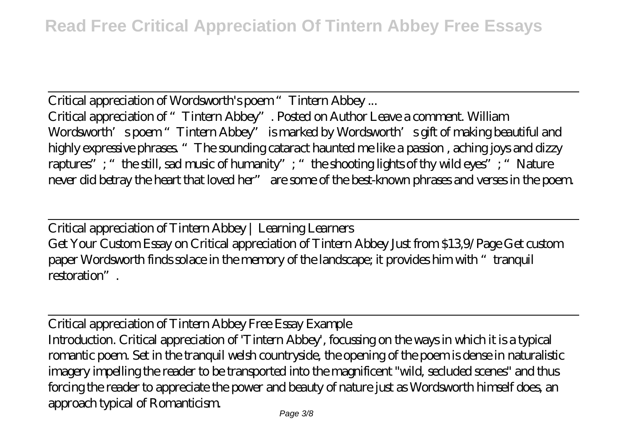Critical appreciation of Wordsworth's poem "Tintern Abbey... Critical appreciation of "Tintern Abbey". Posted on Author Leave a comment. William Wordsworth's poem "Tintern Abbey" is marked by Wordsworth's gift of making beautiful and highly expressive phrases. "The sounding cataract haunted me like a passion , aching joys and dizzy raptures"; "the still, sad music of humanity"; "the shooting lights of thy wild eyes"; "Nature never did betray the heart that loved her" are some of the best-known phrases and verses in the poem.

Critical appreciation of Tintern Abbey | Learning Learners Get Your Custom Essay on Critical appreciation of Tintern Abbey Just from \$13,9/Page Get custom paper Wordsworth finds solace in the memory of the landscape; it provides him with "tranquil restoration".

Critical appreciation of Tintern Abbey Free Essay Example Introduction. Critical appreciation of 'Tintern Abbey', focussing on the ways in which it is a typical romantic poem. Set in the tranquil welsh countryside, the opening of the poem is dense in naturalistic imagery impelling the reader to be transported into the magnificent "wild, secluded scenes" and thus forcing the reader to appreciate the power and beauty of nature just as Wordsworth himself does, an approach typical of Romanticism.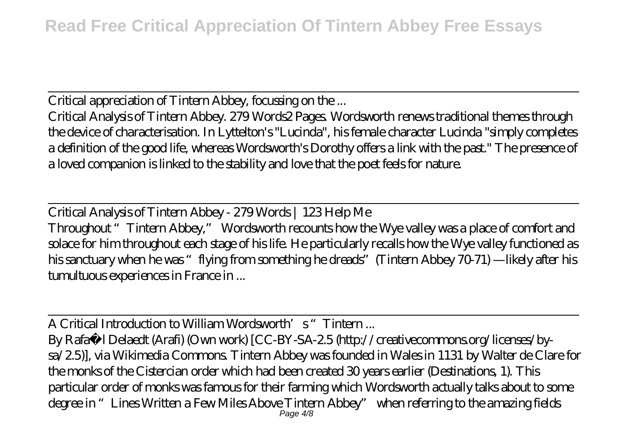Critical appreciation of Tintern Abbey, focussing on the ...

Critical Analysis of Tintern Abbey. 279 Words2 Pages. Wordsworth renews traditional themes through the device of characterisation. In Lyttelton's "Lucinda", his female character Lucinda "simply completes a definition of the good life, whereas Wordsworth's Dorothy offers a link with the past." The presence of a loved companion is linked to the stability and love that the poet feels for nature.

Critical Analysis of Tintern Abbey - 279 Words | 123 Help Me Throughout "Tintern Abbey," Wordsworth recounts how the Wye valley was a place of comfort and solace for him throughout each stage of his life. He particularly recalls how the Wye valley functioned as his sanctuary when he was "flying from something he dreads"(Tintern Abbey 70-71) —likely after his tumultuous experiences in France in ...

A Critical Introduction to William Wordsworth's "Tintern ... By Rafaë l Delaedt (Arafi) (Own work) [CC-BY-SA-2.5 (http://creativecommons.org/licenses/bysa/2.5)], via Wikimedia Commons. Tintern Abbey was founded in Wales in 1131 by Walter de Clare for the monks of the Cistercian order which had been created 30 years earlier (Destinations, 1). This particular order of monks was famous for their farming which Wordsworth actually talks about to some degree in "Lines Written a Few Miles Above Tintern Abbey" when referring to the amazing fields Page  $4/8$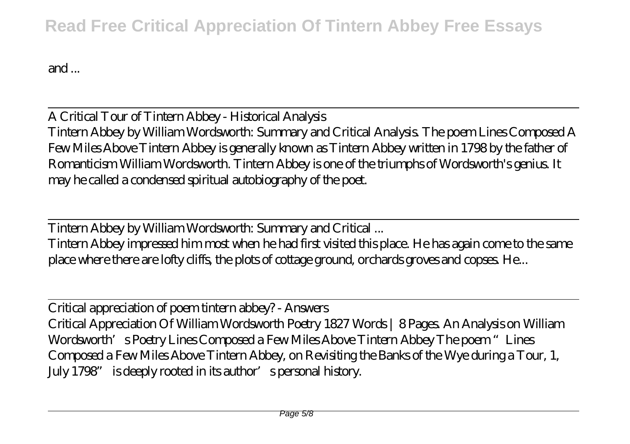## **Read Free Critical Appreciation Of Tintern Abbey Free Essays**

and ...

A Critical Tour of Tintern Abbey - Historical Analysis Tintern Abbey by William Wordsworth: Summary and Critical Analysis. The poem Lines Composed A Few Miles Above Tintern Abbey is generally known as Tintern Abbey written in 1798 by the father of Romanticism William Wordsworth. Tintern Abbey is one of the triumphs of Wordsworth's genius. It may he called a condensed spiritual autobiography of the poet.

Tintern Abbey by William Wordsworth: Summary and Critical ... Tintern Abbey impressed him most when he had first visited this place. He has again come to the same place where there are lofty cliffs, the plots of cottage ground, orchards groves and copses. He...

Critical appreciation of poem tintern abbey? - Answers Critical Appreciation Of William Wordsworth Poetry 1827 Words | 8 Pages. An Analysis on William Wordsworth's Poetry Lines Composed a Few Miles Above Tintern Abbey The poem "Lines Composed a Few Miles Above Tintern Abbey, on Revisiting the Banks of the Wye during a Tour, 1, July 1798" is deeply rooted in its author's personal history.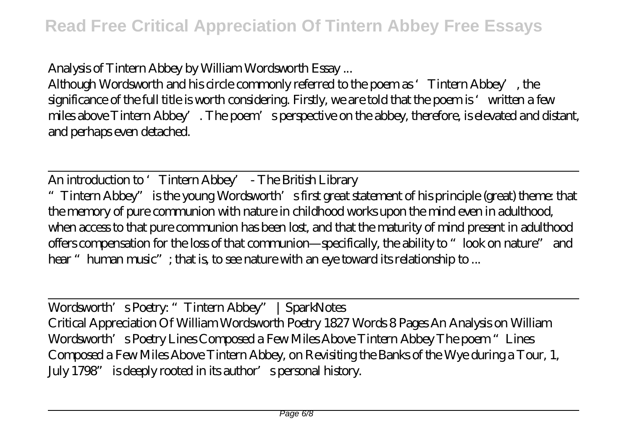Analysis of Tintern Abbey by William Wordsworth Essay ...

Although Wordsworth and his circle commonly referred to the poem as 'Tintern Abbey', the significance of the full title is worth considering. Firstly, we are told that the poem is 'written a few miles above Tintern Abbey'. The poem's perspective on the abbey, therefore, is elevated and distant, and perhaps even detached.

An introduction to 'Tintern Abbey' - The British Library

"Tintern Abbey" is the young Wordsworth's first great statement of his principle (great) theme: that the memory of pure communion with nature in childhood works upon the mind even in adulthood, when access to that pure communion has been lost, and that the maturity of mind present in adulthood offers compensation for the loss of that communion—specifically, the ability to "look on nature" and hear "human music"; that is, to see nature with an eye toward its relationship to ...

Wordsworth's Poetry: "Tintern Abbey" | SparkNotes Critical Appreciation Of William Wordsworth Poetry 1827 Words 8 Pages An Analysis on William Wordsworth's Poetry Lines Composed a Few Miles Above Tintern Abbey The poem "Lines Composed a Few Miles Above Tintern Abbey, on Revisiting the Banks of the Wye during a Tour, 1, July 1798" is deeply rooted in its author's personal history.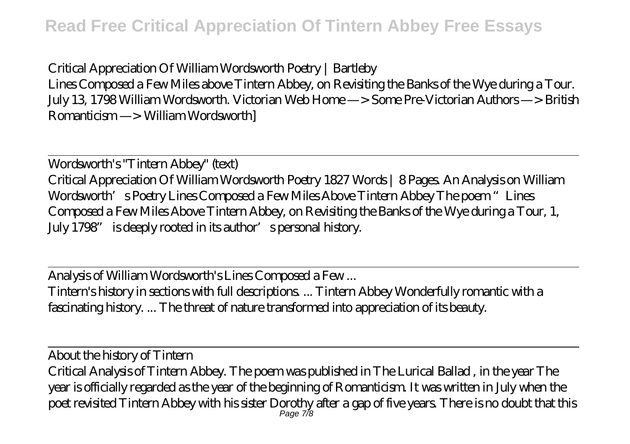Critical Appreciation Of William Wordsworth Poetry | Bartleby

Lines Composed a Few Miles above Tintern Abbey, on Revisiting the Banks of the Wye during a Tour. July 13, 1798 William Wordsworth. Victorian Web Home —> Some Pre-Victorian Authors —> British Romanticism —> William Wordsworth]

Wordsworth's "Tintern Abbey" (text) Critical Appreciation Of William Wordsworth Poetry 1827 Words | 8 Pages. An Analysis on William Wordsworth's Poetry Lines Composed a Few Miles Above Tintern Abbey The poem "Lines Composed a Few Miles Above Tintern Abbey, on Revisiting the Banks of the Wye during a Tour, 1, July 1798" is deeply rooted in its author's personal history.

Analysis of William Wordsworth's Lines Composed a Few ... Tintern's history in sections with full descriptions. ... Tintern Abbey Wonderfully romantic with a fascinating history. ... The threat of nature transformed into appreciation of its beauty.

About the history of Tintern Critical Analysis of Tintern Abbey. The poem was published in The Lurical Ballad , in the year The year is officially regarded as the year of the beginning of Romanticism. It was written in July when the poet revisited Tintern Abbey with his sister Dorothy after a gap of five years. There is no doubt that this Page 7/8